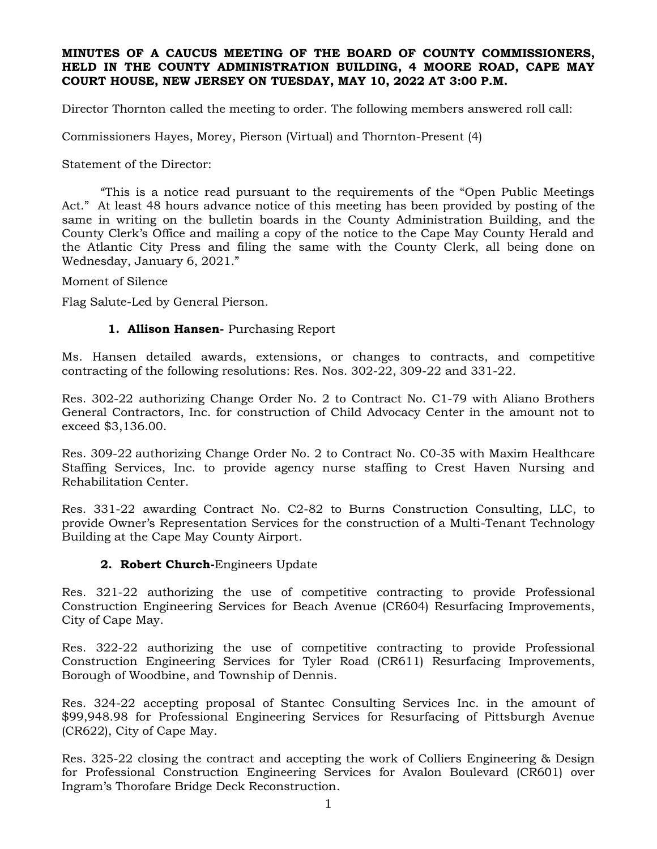#### **MINUTES OF A CAUCUS MEETING OF THE BOARD OF COUNTY COMMISSIONERS, HELD IN THE COUNTY ADMINISTRATION BUILDING, 4 MOORE ROAD, CAPE MAY COURT HOUSE, NEW JERSEY ON TUESDAY, MAY 10, 2022 AT 3:00 P.M.**

Director Thornton called the meeting to order. The following members answered roll call:

Commissioners Hayes, Morey, Pierson (Virtual) and Thornton-Present (4)

Statement of the Director:

"This is a notice read pursuant to the requirements of the "Open Public Meetings Act." At least 48 hours advance notice of this meeting has been provided by posting of the same in writing on the bulletin boards in the County Administration Building, and the County Clerk's Office and mailing a copy of the notice to the Cape May County Herald and the Atlantic City Press and filing the same with the County Clerk, all being done on Wednesday, January 6, 2021."

Moment of Silence

Flag Salute-Led by General Pierson.

#### **1. Allison Hansen-** Purchasing Report

Ms. Hansen detailed awards, extensions, or changes to contracts, and competitive contracting of the following resolutions: Res. Nos. 302-22, 309-22 and 331-22.

Res. 302-22 authorizing Change Order No. 2 to Contract No. C1-79 with Aliano Brothers General Contractors, Inc. for construction of Child Advocacy Center in the amount not to exceed \$3,136.00.

Res. 309-22 authorizing Change Order No. 2 to Contract No. C0-35 with Maxim Healthcare Staffing Services, Inc. to provide agency nurse staffing to Crest Haven Nursing and Rehabilitation Center.

Res. 331-22 awarding Contract No. C2-82 to Burns Construction Consulting, LLC, to provide Owner's Representation Services for the construction of a Multi-Tenant Technology Building at the Cape May County Airport.

#### **2. Robert Church-**Engineers Update

Res. 321-22 authorizing the use of competitive contracting to provide Professional Construction Engineering Services for Beach Avenue (CR604) Resurfacing Improvements, City of Cape May.

Res. 322-22 authorizing the use of competitive contracting to provide Professional Construction Engineering Services for Tyler Road (CR611) Resurfacing Improvements, Borough of Woodbine, and Township of Dennis.

Res. 324-22 accepting proposal of Stantec Consulting Services Inc. in the amount of \$99,948.98 for Professional Engineering Services for Resurfacing of Pittsburgh Avenue (CR622), City of Cape May.

Res. 325-22 closing the contract and accepting the work of Colliers Engineering & Design for Professional Construction Engineering Services for Avalon Boulevard (CR601) over Ingram's Thorofare Bridge Deck Reconstruction.